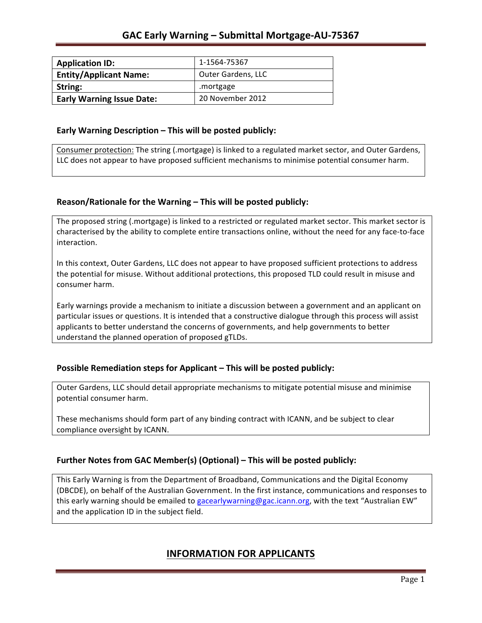| <b>Application ID:</b>           | 1-1564-75367              |
|----------------------------------|---------------------------|
| <b>Entity/Applicant Name:</b>    | <b>Outer Gardens, LLC</b> |
| String:                          | .mortgage                 |
| <b>Early Warning Issue Date:</b> | 20 November 2012          |

### **Early Warning Description – This will be posted publicly:**

Consumer protection: The string (.mortgage) is linked to a regulated market sector, and Outer Gardens, LLC does not appear to have proposed sufficient mechanisms to minimise potential consumer harm.

## **Reason/Rationale for the Warning – This will be posted publicly:**

The proposed string (.mortgage) is linked to a restricted or regulated market sector. This market sector is characterised by the ability to complete entire transactions online, without the need for any face-to-face interaction.

In this context, Outer Gardens, LLC does not appear to have proposed sufficient protections to address the potential for misuse. Without additional protections, this proposed TLD could result in misuse and consumer harm.

Early warnings provide a mechanism to initiate a discussion between a government and an applicant on particular issues or questions. It is intended that a constructive dialogue through this process will assist applicants to better understand the concerns of governments, and help governments to better understand the planned operation of proposed gTLDs.

## **Possible Remediation steps for Applicant – This will be posted publicly:**

Outer Gardens, LLC should detail appropriate mechanisms to mitigate potential misuse and minimise potential consumer harm.

These mechanisms should form part of any binding contract with ICANN, and be subject to clear compliance oversight by ICANN.

## **Further Notes from GAC Member(s) (Optional)** – This will be posted publicly:

This Early Warning is from the Department of Broadband, Communications and the Digital Economy (DBCDE), on behalf of the Australian Government. In the first instance, communications and responses to this early warning should be emailed to gacearlywarning@gac.icann.org, with the text "Australian EW" and the application ID in the subject field.

# **INFORMATION FOR APPLICANTS**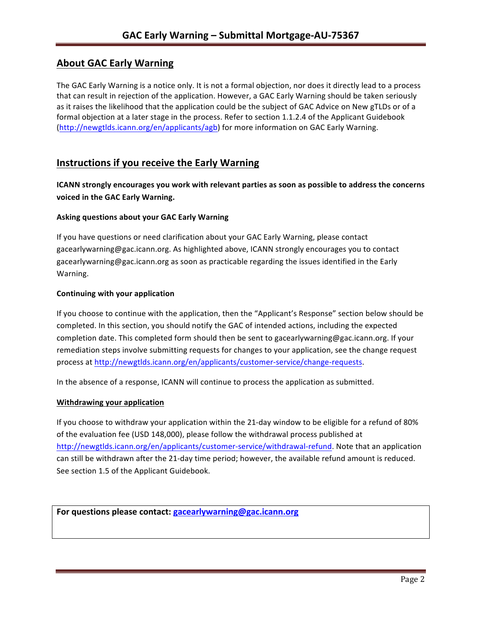# **About GAC Early Warning**

The GAC Early Warning is a notice only. It is not a formal objection, nor does it directly lead to a process that can result in rejection of the application. However, a GAC Early Warning should be taken seriously as it raises the likelihood that the application could be the subject of GAC Advice on New gTLDs or of a formal objection at a later stage in the process. Refer to section 1.1.2.4 of the Applicant Guidebook (http://newgtlds.icann.org/en/applicants/agb) for more information on GAC Early Warning.

## **Instructions if you receive the Early Warning**

**ICANN** strongly encourages you work with relevant parties as soon as possible to address the concerns **voiced in the GAC Early Warning.** 

#### **Asking questions about your GAC Early Warning**

If you have questions or need clarification about your GAC Early Warning, please contact gacearlywarning@gac.icann.org. As highlighted above, ICANN strongly encourages you to contact gacearlywarning@gac.icann.org as soon as practicable regarding the issues identified in the Early Warning. 

#### **Continuing with your application**

If you choose to continue with the application, then the "Applicant's Response" section below should be completed. In this section, you should notify the GAC of intended actions, including the expected completion date. This completed form should then be sent to gacearlywarning@gac.icann.org. If your remediation steps involve submitting requests for changes to your application, see the change request process at http://newgtlds.icann.org/en/applicants/customer-service/change-requests.

In the absence of a response, ICANN will continue to process the application as submitted.

#### **Withdrawing your application**

If you choose to withdraw your application within the 21-day window to be eligible for a refund of 80% of the evaluation fee (USD 148,000), please follow the withdrawal process published at http://newgtlds.icann.org/en/applicants/customer-service/withdrawal-refund. Note that an application can still be withdrawn after the 21-day time period; however, the available refund amount is reduced. See section 1.5 of the Applicant Guidebook.

For questions please contact: gacearlywarning@gac.icann.org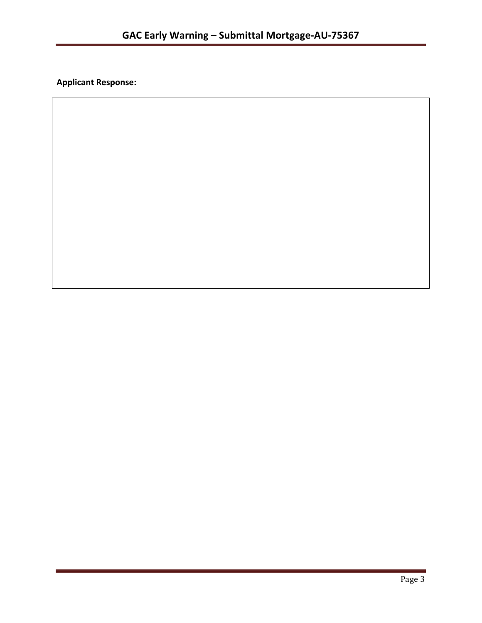**Applicant Response:**